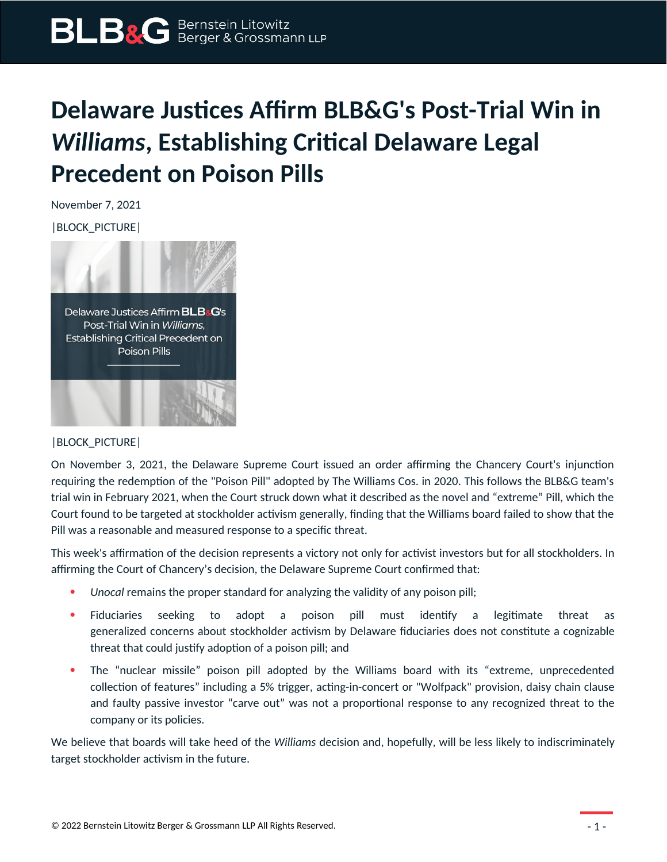## **Delaware Justices Affirm BLB&G's Post-Trial Win in**  *Williams***, Establishing Critical Delaware Legal Precedent on Poison Pills**

November 7, 2021

|BLOCK\_PICTURE|



## |BLOCK\_PICTURE|

On November 3, 2021, the Delaware Supreme Court issued an order affirming the Chancery Court's injunction requiring the redemption of the "Poison Pill" adopted by The Williams Cos. in 2020. This follows the BLB&G team's trial win in February 2021, when the Court struck down what it described as the novel and "extreme" Pill, which the Court found to be targeted at stockholder activism generally, finding that the Williams board failed to show that the Pill was a reasonable and measured response to a specific threat.

This week's affirmation of the decision represents a victory not only for activist investors but for all stockholders. In affirming the Court of Chancery's decision, the Delaware Supreme Court confirmed that:

- *Unocal* remains the proper standard for analyzing the validity of any poison pill;
- Fiduciaries seeking to adopt a poison pill must identify a legitimate threat as generalized concerns about stockholder activism by Delaware fiduciaries does not constitute a cognizable threat that could justify adoption of a poison pill; and
- The "nuclear missile" poison pill adopted by the Williams board with its "extreme, unprecedented collection of features" including a 5% trigger, acting-in-concert or "Wolfpack" provision, daisy chain clause and faulty passive investor "carve out" was not a proportional response to any recognized threat to the company or its policies.

We believe that boards will take heed of the *Williams* decision and, hopefully, will be less likely to indiscriminately target stockholder activism in the future.